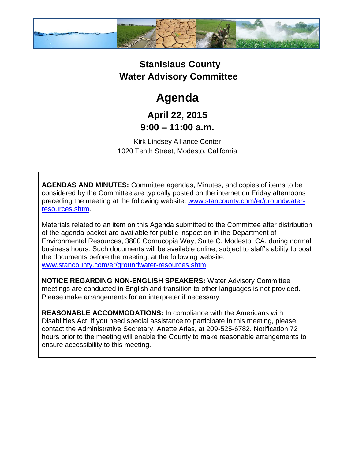

## **Stanislaus County Water Advisory Committee**

# **Agenda**

## **April 22, 2015 9:00 – 11:00 a.m.**

Kirk Lindsey Alliance Center 1020 Tenth Street, Modesto, California

**AGENDAS AND MINUTES:** Committee agendas, Minutes, and copies of items to be considered by the Committee are typically posted on the internet on Friday afternoons preceding the meeting at the following website: [www.stancounty.com/er/groundwater](http://www.stancounty.com/er/groundwater-resources.shtm)[resources.shtm.](http://www.stancounty.com/er/groundwater-resources.shtm)

Materials related to an item on this Agenda submitted to the Committee after distribution of the agenda packet are available for public inspection in the Department of Environmental Resources, 3800 Cornucopia Way, Suite C, Modesto, CA, during normal business hours. Such documents will be available online, subject to staff's ability to post the documents before the meeting, at the following website: [www.stancounty.com/er/groundwater-resources.shtm.](http://www.stancounty.com/er/groundwater-resources.shtm)

**NOTICE REGARDING NON-ENGLISH SPEAKERS:** Water Advisory Committee meetings are conducted in English and transition to other languages is not provided. Please make arrangements for an interpreter if necessary.

**REASONABLE ACCOMMODATIONS:** In compliance with the Americans with Disabilities Act, if you need special assistance to participate in this meeting, please contact the Administrative Secretary, Anette Arias, at 209-525-6782. Notification 72 hours prior to the meeting will enable the County to make reasonable arrangements to ensure accessibility to this meeting.